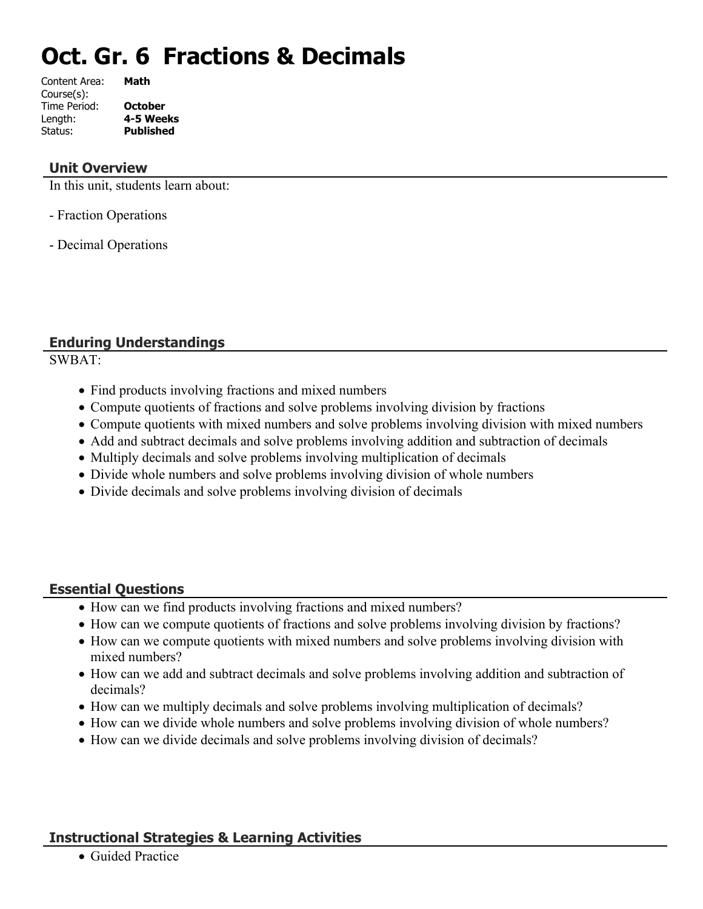# **Oct. Gr. 6 Fractions & Decimals**

| Content Area: | Math             |
|---------------|------------------|
| Course(s):    |                  |
| Time Period:  | <b>October</b>   |
| Length:       | 4-5 Weeks        |
| Status:       | <b>Published</b> |
|               |                  |

#### **Unit Overview**

In this unit, students learn about:

- Fraction Operations

- Decimal Operations

# **Enduring Understandings**

SWBAT:

- Find products involving fractions and mixed numbers
- Compute quotients of fractions and solve problems involving division by fractions
- Compute quotients with mixed numbers and solve problems involving division with mixed numbers
- Add and subtract decimals and solve problems involving addition and subtraction of decimals
- Multiply decimals and solve problems involving multiplication of decimals
- Divide whole numbers and solve problems involving division of whole numbers
- Divide decimals and solve problems involving division of decimals

#### **Essential Questions**

- How can we find products involving fractions and mixed numbers?
- How can we compute quotients of fractions and solve problems involving division by fractions?
- How can we compute quotients with mixed numbers and solve problems involving division with mixed numbers?
- How can we add and subtract decimals and solve problems involving addition and subtraction of decimals?
- How can we multiply decimals and solve problems involving multiplication of decimals?
- How can we divide whole numbers and solve problems involving division of whole numbers?
- How can we divide decimals and solve problems involving division of decimals?

# **Instructional Strategies & Learning Activities**

Guided Practice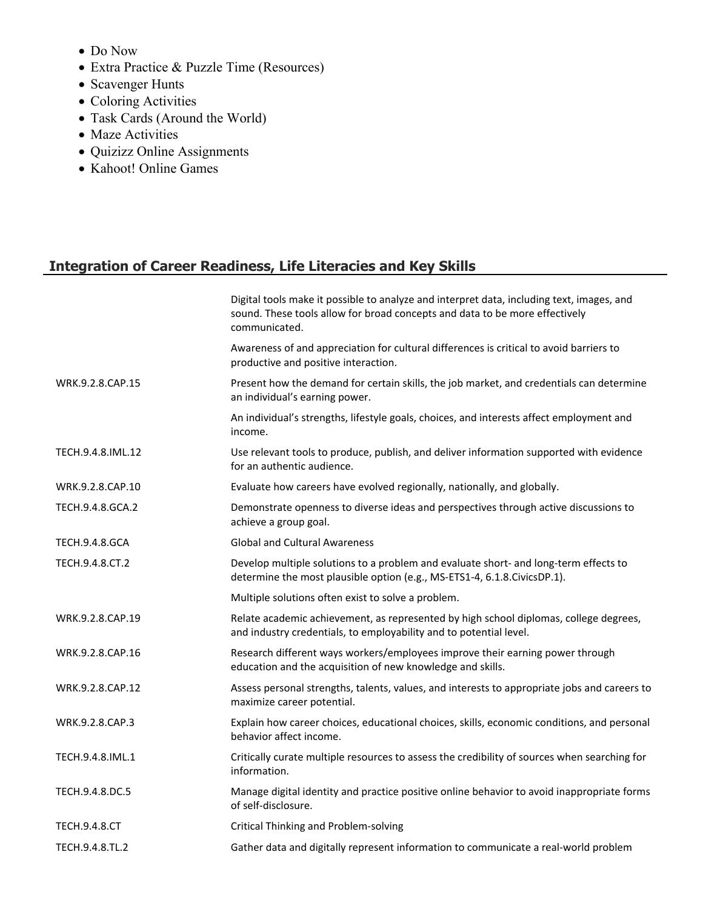- Do Now
- Extra Practice & Puzzle Time (Resources)
- Scavenger Hunts
- Coloring Activities
- Task Cards (Around the World)
- Maze Activities
- Quizizz Online Assignments
- Kahoot! Online Games

# **Integration of Career Readiness, Life Literacies and Key Skills**

|                       | Digital tools make it possible to analyze and interpret data, including text, images, and<br>sound. These tools allow for broad concepts and data to be more effectively<br>communicated. |
|-----------------------|-------------------------------------------------------------------------------------------------------------------------------------------------------------------------------------------|
|                       | Awareness of and appreciation for cultural differences is critical to avoid barriers to<br>productive and positive interaction.                                                           |
| WRK.9.2.8.CAP.15      | Present how the demand for certain skills, the job market, and credentials can determine<br>an individual's earning power.                                                                |
|                       | An individual's strengths, lifestyle goals, choices, and interests affect employment and<br>income.                                                                                       |
| TECH.9.4.8.IML.12     | Use relevant tools to produce, publish, and deliver information supported with evidence<br>for an authentic audience.                                                                     |
| WRK.9.2.8.CAP.10      | Evaluate how careers have evolved regionally, nationally, and globally.                                                                                                                   |
| TECH.9.4.8.GCA.2      | Demonstrate openness to diverse ideas and perspectives through active discussions to<br>achieve a group goal.                                                                             |
| <b>TECH.9.4.8.GCA</b> | <b>Global and Cultural Awareness</b>                                                                                                                                                      |
| TECH.9.4.8.CT.2       | Develop multiple solutions to a problem and evaluate short- and long-term effects to<br>determine the most plausible option (e.g., MS-ETS1-4, 6.1.8.CivicsDP.1).                          |
|                       | Multiple solutions often exist to solve a problem.                                                                                                                                        |
| WRK.9.2.8.CAP.19      | Relate academic achievement, as represented by high school diplomas, college degrees,<br>and industry credentials, to employability and to potential level.                               |
| WRK.9.2.8.CAP.16      | Research different ways workers/employees improve their earning power through<br>education and the acquisition of new knowledge and skills.                                               |
| WRK.9.2.8.CAP.12      | Assess personal strengths, talents, values, and interests to appropriate jobs and careers to<br>maximize career potential.                                                                |
| WRK.9.2.8.CAP.3       | Explain how career choices, educational choices, skills, economic conditions, and personal<br>behavior affect income.                                                                     |
| TECH.9.4.8.IML.1      | Critically curate multiple resources to assess the credibility of sources when searching for<br>information.                                                                              |
| TECH.9.4.8.DC.5       | Manage digital identity and practice positive online behavior to avoid inappropriate forms<br>of self-disclosure.                                                                         |
| <b>TECH.9.4.8.CT</b>  | <b>Critical Thinking and Problem-solving</b>                                                                                                                                              |
| TECH.9.4.8.TL.2       | Gather data and digitally represent information to communicate a real-world problem                                                                                                       |
|                       |                                                                                                                                                                                           |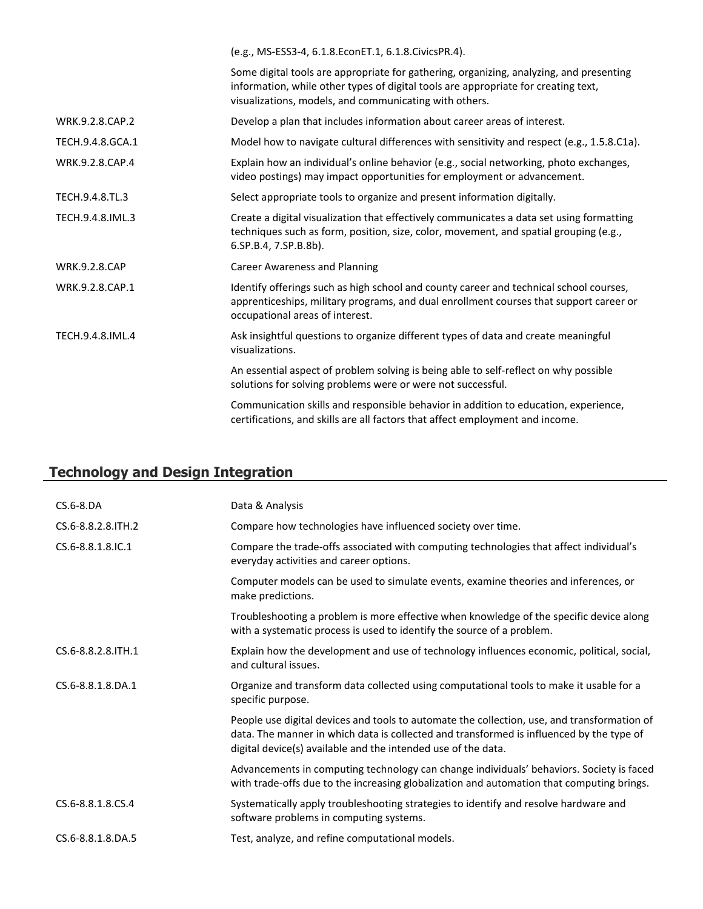|                      | (e.g., MS-ESS3-4, 6.1.8.EconET.1, 6.1.8.CivicsPR.4).                                                                                                                                                                                    |
|----------------------|-----------------------------------------------------------------------------------------------------------------------------------------------------------------------------------------------------------------------------------------|
|                      | Some digital tools are appropriate for gathering, organizing, analyzing, and presenting<br>information, while other types of digital tools are appropriate for creating text,<br>visualizations, models, and communicating with others. |
| WRK.9.2.8.CAP.2      | Develop a plan that includes information about career areas of interest.                                                                                                                                                                |
| TECH.9.4.8.GCA.1     | Model how to navigate cultural differences with sensitivity and respect (e.g., 1.5.8.C1a).                                                                                                                                              |
| WRK.9.2.8.CAP.4      | Explain how an individual's online behavior (e.g., social networking, photo exchanges,<br>video postings) may impact opportunities for employment or advancement.                                                                       |
| TECH.9.4.8.TL.3      | Select appropriate tools to organize and present information digitally.                                                                                                                                                                 |
| TECH.9.4.8.IML.3     | Create a digital visualization that effectively communicates a data set using formatting<br>techniques such as form, position, size, color, movement, and spatial grouping (e.g.,<br>6.SP.B.4, 7.SP.B.8b).                              |
| <b>WRK.9.2.8.CAP</b> | <b>Career Awareness and Planning</b>                                                                                                                                                                                                    |
| WRK.9.2.8.CAP.1      | Identify offerings such as high school and county career and technical school courses,<br>apprenticeships, military programs, and dual enrollment courses that support career or<br>occupational areas of interest.                     |
| TECH.9.4.8.IML.4     | Ask insightful questions to organize different types of data and create meaningful<br>visualizations.                                                                                                                                   |
|                      | An essential aspect of problem solving is being able to self-reflect on why possible<br>solutions for solving problems were or were not successful.                                                                                     |
|                      | Communication skills and responsible behavior in addition to education, experience,<br>certifications, and skills are all factors that affect employment and income.                                                                    |

# **Technology and Design Integration**

| $CS.6-8.DA$         | Data & Analysis                                                                                                                                                                                                                                          |
|---------------------|----------------------------------------------------------------------------------------------------------------------------------------------------------------------------------------------------------------------------------------------------------|
| CS.6-8.8.2.8. ITH.2 | Compare how technologies have influenced society over time.                                                                                                                                                                                              |
| CS.6-8.8.1.8.IC.1   | Compare the trade-offs associated with computing technologies that affect individual's<br>everyday activities and career options.                                                                                                                        |
|                     | Computer models can be used to simulate events, examine theories and inferences, or<br>make predictions.                                                                                                                                                 |
|                     | Troubleshooting a problem is more effective when knowledge of the specific device along<br>with a systematic process is used to identify the source of a problem.                                                                                        |
| CS.6-8.8.2.8.ITH.1  | Explain how the development and use of technology influences economic, political, social,<br>and cultural issues.                                                                                                                                        |
| CS.6-8.8.1.8.DA.1   | Organize and transform data collected using computational tools to make it usable for a<br>specific purpose.                                                                                                                                             |
|                     | People use digital devices and tools to automate the collection, use, and transformation of<br>data. The manner in which data is collected and transformed is influenced by the type of<br>digital device(s) available and the intended use of the data. |
|                     | Advancements in computing technology can change individuals' behaviors. Society is faced<br>with trade-offs due to the increasing globalization and automation that computing brings.                                                                    |
| CS.6-8.8.1.8.CS.4   | Systematically apply troubleshooting strategies to identify and resolve hardware and<br>software problems in computing systems.                                                                                                                          |
| CS.6-8.8.1.8.DA.5   | Test, analyze, and refine computational models.                                                                                                                                                                                                          |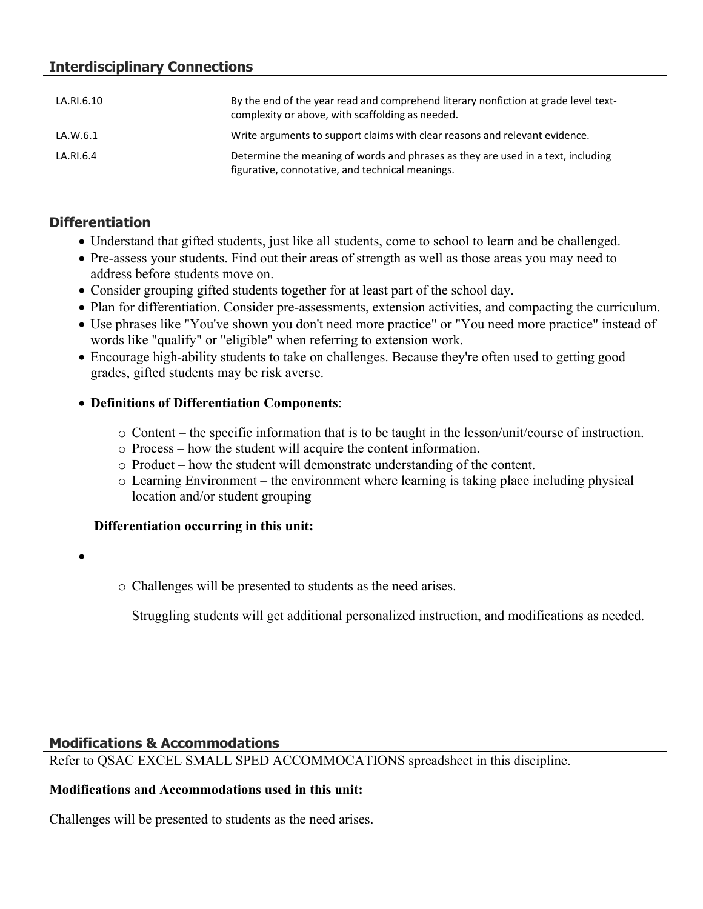# **Interdisciplinary Connections**

| LA.RI.6.10 | By the end of the year read and comprehend literary nonfiction at grade level text-<br>complexity or above, with scaffolding as needed. |
|------------|-----------------------------------------------------------------------------------------------------------------------------------------|
| LA.W.6.1   | Write arguments to support claims with clear reasons and relevant evidence.                                                             |
| LA.RI.6.4  | Determine the meaning of words and phrases as they are used in a text, including<br>figurative, connotative, and technical meanings.    |

#### **Differentiation**

- Understand that gifted students, just like all students, come to school to learn and be challenged.
- Pre-assess your students. Find out their areas of strength as well as those areas you may need to address before students move on.
- Consider grouping gifted students together for at least part of the school day.
- Plan for differentiation. Consider pre-assessments, extension activities, and compacting the curriculum.
- Use phrases like "You've shown you don't need more practice" or "You need more practice" instead of words like "qualify" or "eligible" when referring to extension work.
- Encourage high-ability students to take on challenges. Because they're often used to getting good grades, gifted students may be risk averse.

#### **Definitions of Differentiation Components**:

- o Content the specific information that is to be taught in the lesson/unit/course of instruction.
- o Process how the student will acquire the content information.
- o Product how the student will demonstrate understanding of the content.
- o Learning Environment the environment where learning is taking place including physical location and/or student grouping

#### **Differentiation occurring in this unit:**

- $\bullet$
- o Challenges will be presented to students as the need arises.

Struggling students will get additional personalized instruction, and modifications as needed.

#### **Modifications & Accommodations**

Refer to QSAC EXCEL SMALL SPED ACCOMMOCATIONS spreadsheet in this discipline.

#### **Modifications and Accommodations used in this unit:**

Challenges will be presented to students as the need arises.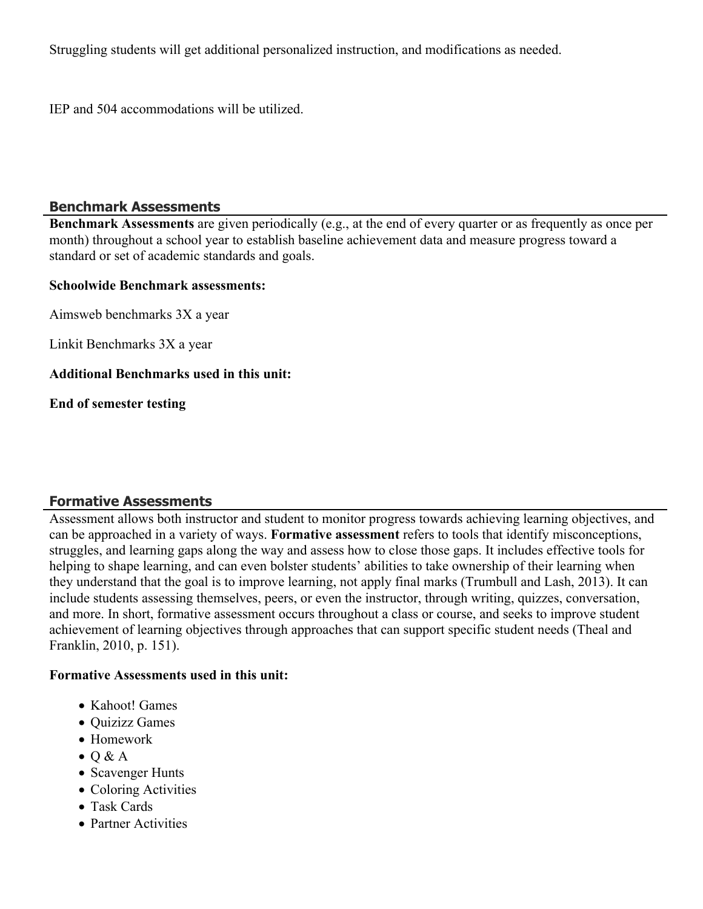Struggling students will get additional personalized instruction, and modifications as needed.

IEP and 504 accommodations will be utilized.

#### **Benchmark Assessments**

**Benchmark Assessments** are given periodically (e.g., at the end of every quarter or as frequently as once per month) throughout a school year to establish baseline achievement data and measure progress toward a standard or set of academic standards and goals.

#### **Schoolwide Benchmark assessments:**

Aimsweb benchmarks 3X a year

Linkit Benchmarks 3X a year

#### **Additional Benchmarks used in this unit:**

**End of semester testing**

#### **Formative Assessments**

Assessment allows both instructor and student to monitor progress towards achieving learning objectives, and can be approached in a variety of ways. **Formative assessment** refers to tools that identify misconceptions, struggles, and learning gaps along the way and assess how to close those gaps. It includes effective tools for helping to shape learning, and can even bolster students' abilities to take ownership of their learning when they understand that the goal is to improve learning, not apply final marks (Trumbull and Lash, 2013). It can include students assessing themselves, peers, or even the instructor, through writing, quizzes, conversation, and more. In short, formative assessment occurs throughout a class or course, and seeks to improve student achievement of learning objectives through approaches that can support specific student needs (Theal and Franklin, 2010, p. 151).

#### **Formative Assessments used in this unit:**

- Kahoot! Games
- Ouizizz Games
- Homework
- $\bullet$  Q & A
- Scavenger Hunts
- Coloring Activities
- Task Cards
- Partner Activities